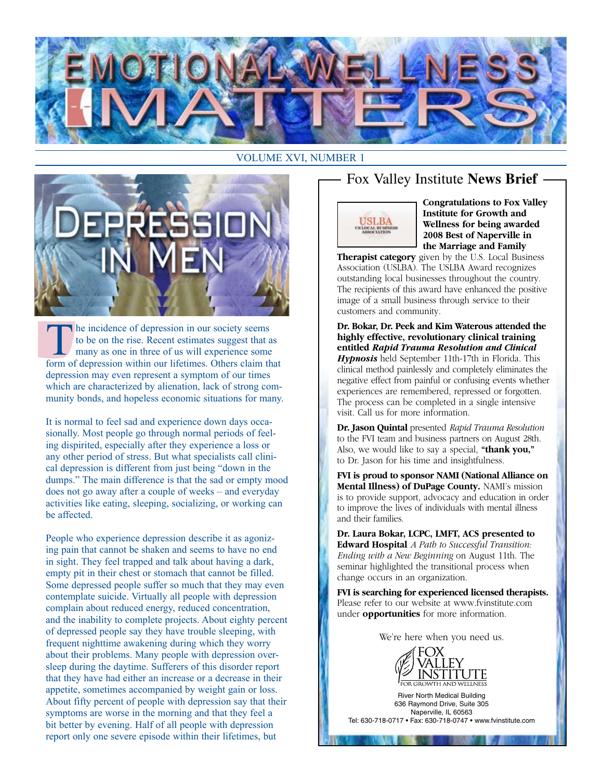



The incidence of depression in our society seems<br>to be on the rise. Recent estimates suggest that a<br>many as one in three of us will experience some<br>form of depression within our lifetimes. Others claim the to be on the rise. Recent estimates suggest that as many as one in three of us will experience some form of depression within our lifetimes. Others claim that depression may even represent a symptom of our times which are characterized by alienation, lack of strong community bonds, and hopeless economic situations for many.

It is normal to feel sad and experience down days occasionally. Most people go through normal periods of feeling dispirited, especially after they experience a loss or any other period of stress. But what specialists call clinical depression is different from just being "down in the dumps." The main difference is that the sad or empty mood does not go away after a couple of weeks – and everyday activities like eating, sleeping, socializing, or working can be affected.

People who experience depression describe it as agonizing pain that cannot be shaken and seems to have no end in sight. They feel trapped and talk about having a dark, empty pit in their chest or stomach that cannot be filled. Some depressed people suffer so much that they may even contemplate suicide. Virtually all people with depression complain about reduced energy, reduced concentration, and the inability to complete projects. About eighty percent of depressed people say they have trouble sleeping, with frequent nighttime awakening during which they worry about their problems. Many people with depression oversleep during the daytime. Sufferers of this disorder report that they have had either an increase or a decrease in their appetite, sometimes accompanied by weight gain or loss. About fifty percent of people with depression say that their symptoms are worse in the morning and that they feel a bit better by evening. Half of all people with depression report only one severe episode within their lifetimes, but

# Fox Valley Institute **News Brief**



**Congratulations to Fox Valley Institute for Growth and Wellness for being awarded 2008 Best of Naperville in the Marriage and Family**

**Therapist category** given by the U.S. Local Business Association (USLBA). The USLBA Award recognizes outstanding local businesses throughout the country. The recipients of this award have enhanced the positive image of a small business through service to their customers and community.

#### **Dr. Bokar, Dr. Peek and Kim Waterous attended the highly effective, revolutionary clinical training entitled** *Rapid Trauma Resolution and Clinical*

*Hypnosis* held September 11th-17th in Florida. This clinical method painlessly and completely eliminates the negative effect from painful or confusing events whether experiences are remembered, repressed or forgotten. The process can be completed in a single intensive visit. Call us for more information.

**Dr. Jason Quintal** presented *Rapid Trauma Resolution* to the FVI team and business partners on August 28th. Also, we would like to say a special, **"thank you,"** to Dr. Jason for his time and insightfulness.

**FVI is proud to sponsor NAMI (National Alliance on Mental Illness) of DuPage County.** NAMI's mission is to provide support, advocacy and education in order to improve the lives of individuals with mental illness and their families.

**Dr. Laura Bokar, LCPC, LMFT, ACS presented to Edward Hospital** *A Path to Successful Transition: Ending with a New Beginning* on August 11th. The seminar highlighted the transitional process when change occurs in an organization.

**FVI is searching for experienced licensed therapists.** Please refer to our website at www.fvinstitute.com under **opportunities** for more information.

We're here when you need us.



River North Medical Building 636 Raymond Drive, Suite 305 Naperville, IL 60563 Tel: 630-718-0717 • Fax: 630-718-0747 • www.fvinstitute.com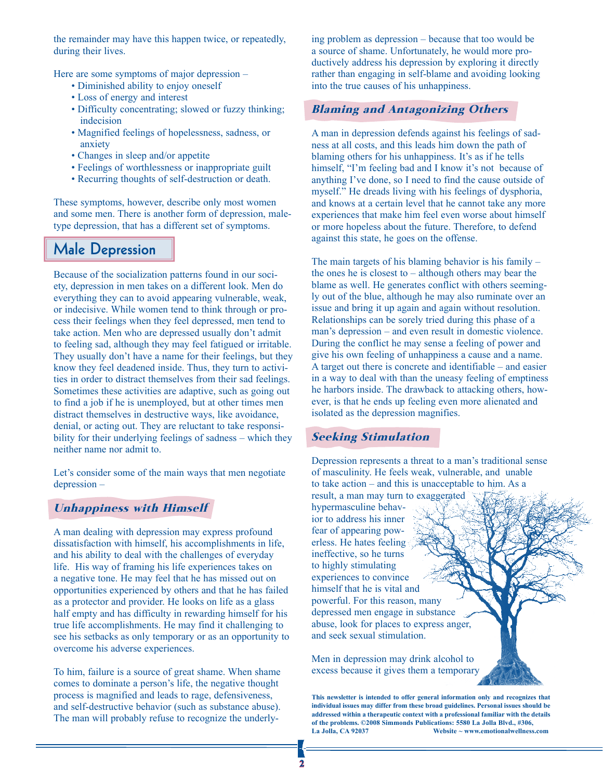the remainder may have this happen twice, or repeatedly, during their lives.

Here are some symptoms of major depression –

- Diminished ability to enjoy oneself
- Loss of energy and interest
- Difficulty concentrating; slowed or fuzzy thinking; indecision
- Magnified feelings of hopelessness, sadness, or anxiety
- Changes in sleep and/or appetite
- Feelings of worthlessness or inappropriate guilt
- Recurring thoughts of self-destruction or death.

These symptoms, however, describe only most women and some men. There is another form of depression, maletype depression, that has a different set of symptoms.

# **Male Depression**

Because of the socialization patterns found in our society, depression in men takes on a different look. Men do everything they can to avoid appearing vulnerable, weak, or indecisive. While women tend to think through or process their feelings when they feel depressed, men tend to take action. Men who are depressed usually don't admit to feeling sad, although they may feel fatigued or irritable. They usually don't have a name for their feelings, but they know they feel deadened inside. Thus, they turn to activities in order to distract themselves from their sad feelings. Sometimes these activities are adaptive, such as going out to find a job if he is unemployed, but at other times men distract themselves in destructive ways, like avoidance, denial, or acting out. They are reluctant to take responsibility for their underlying feelings of sadness – which they neither name nor admit to.

Let's consider some of the main ways that men negotiate depression –

### Unhappiness with Himself

A man dealing with depression may express profound dissatisfaction with himself, his accomplishments in life, and his ability to deal with the challenges of everyday life. His way of framing his life experiences takes on a negative tone. He may feel that he has missed out on opportunities experienced by others and that he has failed as a protector and provider. He looks on life as a glass half empty and has difficulty in rewarding himself for his true life accomplishments. He may find it challenging to see his setbacks as only temporary or as an opportunity to overcome his adverse experiences.

To him, failure is a source of great shame. When shame comes to dominate a person's life, the negative thought process is magnified and leads to rage, defensiveness, and self-destructive behavior (such as substance abuse). The man will probably refuse to recognize the underlying problem as depression – because that too would be a source of shame. Unfortunately, he would more productively address his depression by exploring it directly rather than engaging in self-blame and avoiding looking into the true causes of his unhappiness.

### Blaming and Antagonizing Others

A man in depression defends against his feelings of sadness at all costs, and this leads him down the path of blaming others for his unhappiness. It's as if he tells himself, "I'm feeling bad and I know it's not because of anything I've done, so I need to find the cause outside of myself." He dreads living with his feelings of dysphoria, and knows at a certain level that he cannot take any more experiences that make him feel even worse about himself or more hopeless about the future. Therefore, to defend against this state, he goes on the offense.

The main targets of his blaming behavior is his family – the ones he is closest to – although others may bear the blame as well. He generates conflict with others seemingly out of the blue, although he may also ruminate over an issue and bring it up again and again without resolution. Relationships can be sorely tried during this phase of a man's depression – and even result in domestic violence. During the conflict he may sense a feeling of power and give his own feeling of unhappiness a cause and a name. A target out there is concrete and identifiable – and easier in a way to deal with than the uneasy feeling of emptiness he harbors inside. The drawback to attacking others, however, is that he ends up feeling even more alienated and isolated as the depression magnifies.

### Seeking Stimulation

Depression represents a threat to a man's traditional sense of masculinity. He feels weak, vulnerable, and unable to take action – and this is unacceptable to him. As a result, a man may turn to exaggerated

hypermasculine behavior to address his inner fear of appearing powerless. He hates feeling ineffective, so he turns to highly stimulating experiences to convince himself that he is vital and powerful. For this reason, many depressed men engage in substance abuse, look for places to express anger, and seek sexual stimulation.

Men in depression may drink alcohol to excess because it gives them a temporary

**This newsletter is intended to offer general information only and recognizes that individual issues may differ from these broad guidelines. Personal issues should be addressed within a therapeutic context with a professional familiar with the details of the problems. ©2008 Simmonds Publications: 5580 La Jolla Blvd., #306,**  Website ~ www.emotionalwellness.com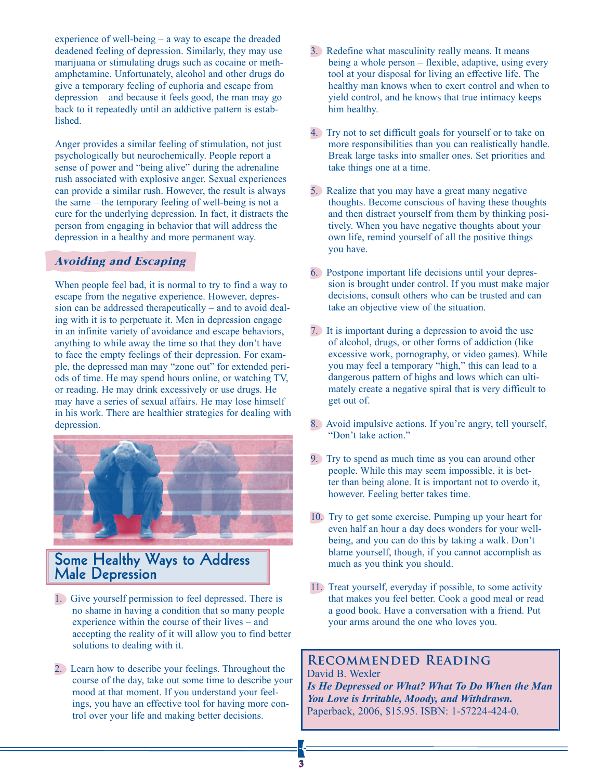experience of well-being – a way to escape the dreaded deadened feeling of depression. Similarly, they may use marijuana or stimulating drugs such as cocaine or methamphetamine. Unfortunately, alcohol and other drugs do give a temporary feeling of euphoria and escape from depression – and because it feels good, the man may go back to it repeatedly until an addictive pattern is established.

Anger provides a similar feeling of stimulation, not just psychologically but neurochemically. People report a sense of power and "being alive" during the adrenaline rush associated with explosive anger. Sexual experiences can provide a similar rush. However, the result is always the same – the temporary feeling of well-being is not a cure for the underlying depression. In fact, it distracts the person from engaging in behavior that will address the depression in a healthy and more permanent way.

### Avoiding and Escaping

When people feel bad, it is normal to try to find a way to escape from the negative experience. However, depression can be addressed therapeutically – and to avoid dealing with it is to perpetuate it. Men in depression engage in an infinite variety of avoidance and escape behaviors, anything to while away the time so that they don't have to face the empty feelings of their depression. For example, the depressed man may "zone out" for extended periods of time. He may spend hours online, or watching TV, or reading. He may drink excessively or use drugs. He may have a series of sexual affairs. He may lose himself in his work. There are healthier strategies for dealing with depression.



## **Some Healthy Ways to Address Male Depression**

- 1. Give yourself permission to feel depressed. There is no shame in having a condition that so many people experience within the course of their lives – and accepting the reality of it will allow you to find better solutions to dealing with it.
- 2. Learn how to describe your feelings. Throughout the course of the day, take out some time to describe your mood at that moment. If you understand your feelings, you have an effective tool for having more control over your life and making better decisions.
- 3. Redefine what masculinity really means. It means being a whole person – flexible, adaptive, using every tool at your disposal for living an effective life. The healthy man knows when to exert control and when to yield control, and he knows that true intimacy keeps him healthy.
- 4. Try not to set difficult goals for yourself or to take on more responsibilities than you can realistically handle. Break large tasks into smaller ones. Set priorities and take things one at a time.
- 5. Realize that you may have a great many negative thoughts. Become conscious of having these thoughts and then distract yourself from them by thinking positively. When you have negative thoughts about your own life, remind yourself of all the positive things you have.
- 6. Postpone important life decisions until your depression is brought under control. If you must make major decisions, consult others who can be trusted and can take an objective view of the situation.
- 7. It is important during a depression to avoid the use of alcohol, drugs, or other forms of addiction (like excessive work, pornography, or video games). While you may feel a temporary "high," this can lead to a dangerous pattern of highs and lows which can ultimately create a negative spiral that is very difficult to get out of.
- 8. Avoid impulsive actions. If you're angry, tell yourself, "Don't take action."
- 9. Try to spend as much time as you can around other people. While this may seem impossible, it is better than being alone. It is important not to overdo it, however. Feeling better takes time.
- 10. Try to get some exercise. Pumping up your heart for even half an hour a day does wonders for your wellbeing, and you can do this by taking a walk. Don't blame yourself, though, if you cannot accomplish as much as you think you should.
- 11. Treat yourself, everyday if possible, to some activity that makes you feel better. Cook a good meal or read a good book. Have a conversation with a friend. Put your arms around the one who loves you.

#### **Recommended Reading** David B. Wexler

*Is He Depressed or What? What To Do When the Man You Love is Irritable, Moody, and Withdrawn.* Paperback, 2006, \$15.95. ISBN: 1-57224-424-0.